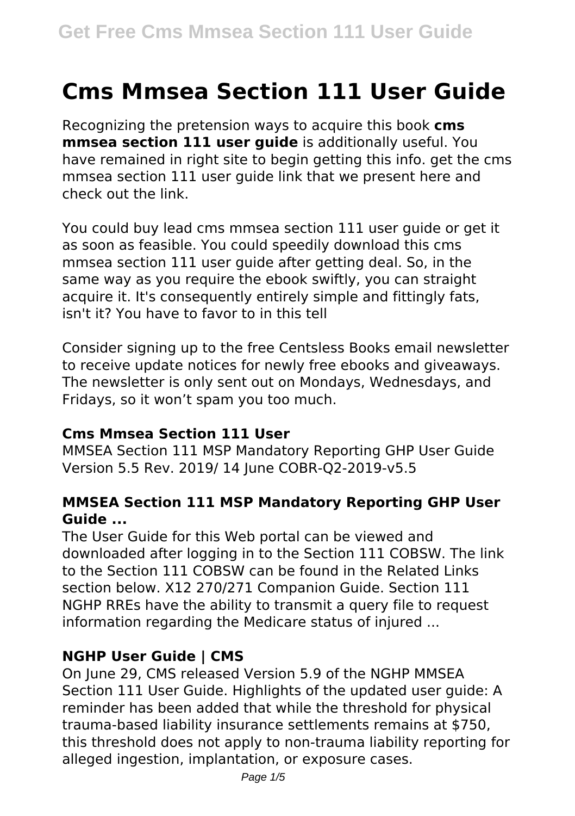# **Cms Mmsea Section 111 User Guide**

Recognizing the pretension ways to acquire this book **cms mmsea section 111 user guide** is additionally useful. You have remained in right site to begin getting this info. get the cms mmsea section 111 user guide link that we present here and check out the link.

You could buy lead cms mmsea section 111 user guide or get it as soon as feasible. You could speedily download this cms mmsea section 111 user guide after getting deal. So, in the same way as you require the ebook swiftly, you can straight acquire it. It's consequently entirely simple and fittingly fats, isn't it? You have to favor to in this tell

Consider signing up to the free Centsless Books email newsletter to receive update notices for newly free ebooks and giveaways. The newsletter is only sent out on Mondays, Wednesdays, and Fridays, so it won't spam you too much.

#### **Cms Mmsea Section 111 User**

MMSEA Section 111 MSP Mandatory Reporting GHP User Guide Version 5.5 Rev. 2019/ 14 June COBR-Q2-2019-v5.5

#### **MMSEA Section 111 MSP Mandatory Reporting GHP User Guide ...**

The User Guide for this Web portal can be viewed and downloaded after logging in to the Section 111 COBSW. The link to the Section 111 COBSW can be found in the Related Links section below. X12 270/271 Companion Guide. Section 111 NGHP RREs have the ability to transmit a query file to request information regarding the Medicare status of injured ...

#### **NGHP User Guide | CMS**

On June 29, CMS released Version 5.9 of the NGHP MMSEA Section 111 User Guide. Highlights of the updated user guide: A reminder has been added that while the threshold for physical trauma-based liability insurance settlements remains at \$750, this threshold does not apply to non-trauma liability reporting for alleged ingestion, implantation, or exposure cases.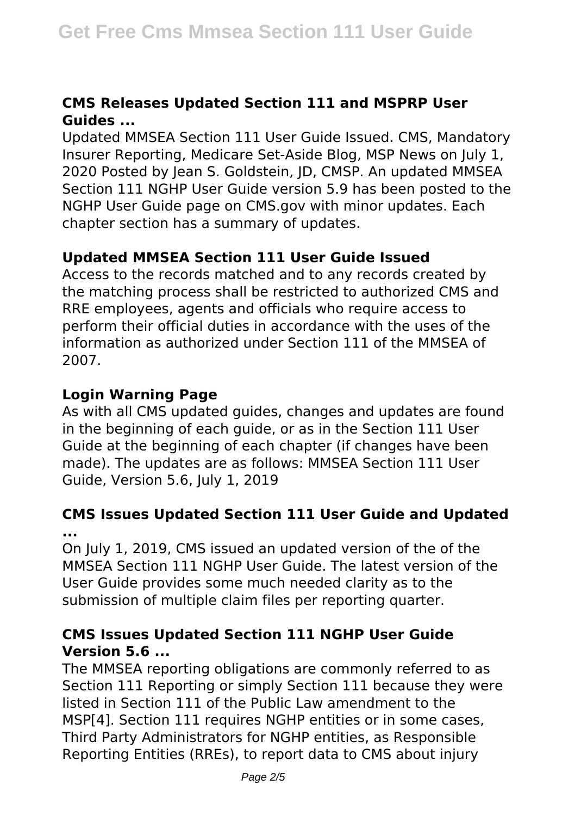#### **CMS Releases Updated Section 111 and MSPRP User Guides ...**

Updated MMSEA Section 111 User Guide Issued. CMS, Mandatory Insurer Reporting, Medicare Set-Aside Blog, MSP News on July 1, 2020 Posted by Jean S. Goldstein, JD, CMSP. An updated MMSEA Section 111 NGHP User Guide version 5.9 has been posted to the NGHP User Guide page on CMS.gov with minor updates. Each chapter section has a summary of updates.

#### **Updated MMSEA Section 111 User Guide Issued**

Access to the records matched and to any records created by the matching process shall be restricted to authorized CMS and RRE employees, agents and officials who require access to perform their official duties in accordance with the uses of the information as authorized under Section 111 of the MMSEA of 2007.

#### **Login Warning Page**

As with all CMS updated guides, changes and updates are found in the beginning of each guide, or as in the Section 111 User Guide at the beginning of each chapter (if changes have been made). The updates are as follows: MMSEA Section 111 User Guide, Version 5.6, July 1, 2019

#### **CMS Issues Updated Section 111 User Guide and Updated ...**

On July 1, 2019, CMS issued an updated version of the of the MMSEA Section 111 NGHP User Guide. The latest version of the User Guide provides some much needed clarity as to the submission of multiple claim files per reporting quarter.

#### **CMS Issues Updated Section 111 NGHP User Guide Version 5.6 ...**

The MMSEA reporting obligations are commonly referred to as Section 111 Reporting or simply Section 111 because they were listed in Section 111 of the Public Law amendment to the MSP[4]. Section 111 requires NGHP entities or in some cases, Third Party Administrators for NGHP entities, as Responsible Reporting Entities (RREs), to report data to CMS about injury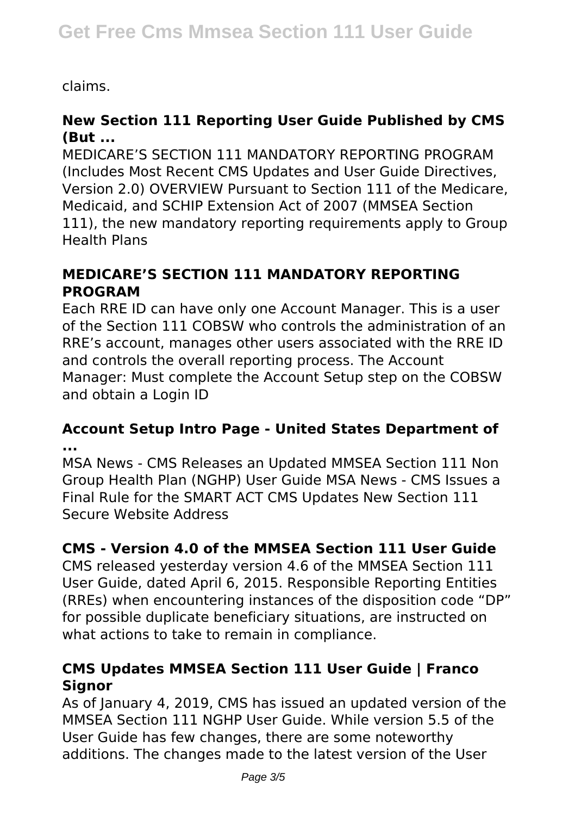claims.

# **New Section 111 Reporting User Guide Published by CMS (But ...**

MEDICARE'S SECTION 111 MANDATORY REPORTING PROGRAM (Includes Most Recent CMS Updates and User Guide Directives, Version 2.0) OVERVIEW Pursuant to Section 111 of the Medicare, Medicaid, and SCHIP Extension Act of 2007 (MMSEA Section 111), the new mandatory reporting requirements apply to Group Health Plans

### **MEDICARE'S SECTION 111 MANDATORY REPORTING PROGRAM**

Each RRE ID can have only one Account Manager. This is a user of the Section 111 COBSW who controls the administration of an RRE's account, manages other users associated with the RRE ID and controls the overall reporting process. The Account Manager: Must complete the Account Setup step on the COBSW and obtain a Login ID

#### **Account Setup Intro Page - United States Department of ...**

MSA News - CMS Releases an Updated MMSEA Section 111 Non Group Health Plan (NGHP) User Guide MSA News - CMS Issues a Final Rule for the SMART ACT CMS Updates New Section 111 Secure Website Address

# **CMS - Version 4.0 of the MMSEA Section 111 User Guide**

CMS released yesterday version 4.6 of the MMSEA Section 111 User Guide, dated April 6, 2015. Responsible Reporting Entities (RREs) when encountering instances of the disposition code "DP" for possible duplicate beneficiary situations, are instructed on what actions to take to remain in compliance.

# **CMS Updates MMSEA Section 111 User Guide | Franco Signor**

As of January 4, 2019, CMS has issued an updated version of the MMSEA Section 111 NGHP User Guide. While version 5.5 of the User Guide has few changes, there are some noteworthy additions. The changes made to the latest version of the User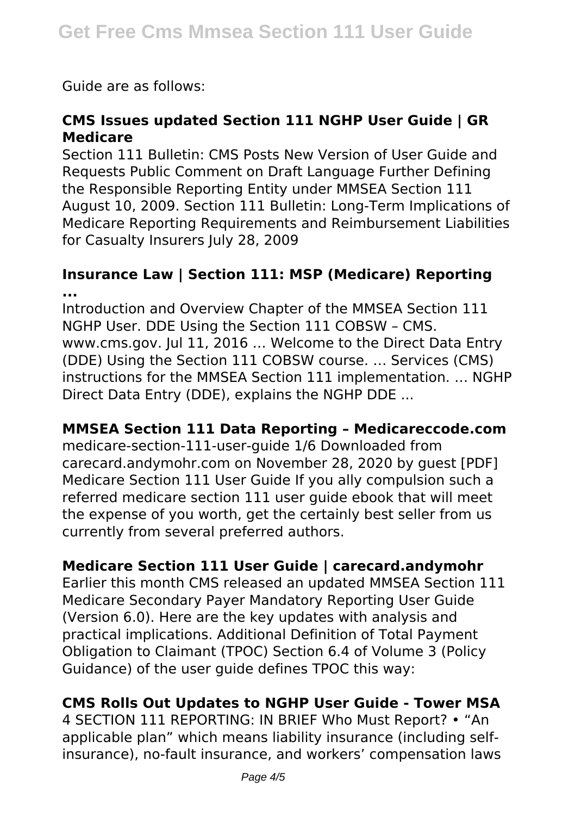Guide are as follows:

# **CMS Issues updated Section 111 NGHP User Guide | GR Medicare**

Section 111 Bulletin: CMS Posts New Version of User Guide and Requests Public Comment on Draft Language Further Defining the Responsible Reporting Entity under MMSEA Section 111 August 10, 2009. Section 111 Bulletin: Long-Term Implications of Medicare Reporting Requirements and Reimbursement Liabilities for Casualty Insurers July 28, 2009

#### **Insurance Law | Section 111: MSP (Medicare) Reporting ...**

Introduction and Overview Chapter of the MMSEA Section 111 NGHP User. DDE Using the Section 111 COBSW – CMS. www.cms.gov. Jul 11, 2016 … Welcome to the Direct Data Entry (DDE) Using the Section 111 COBSW course. … Services (CMS) instructions for the MMSEA Section 111 implementation. … NGHP Direct Data Entry (DDE), explains the NGHP DDE ...

#### **MMSEA Section 111 Data Reporting – Medicareccode.com**

medicare-section-111-user-guide 1/6 Downloaded from carecard.andymohr.com on November 28, 2020 by guest [PDF] Medicare Section 111 User Guide If you ally compulsion such a referred medicare section 111 user guide ebook that will meet the expense of you worth, get the certainly best seller from us currently from several preferred authors.

# **Medicare Section 111 User Guide | carecard.andymohr**

Earlier this month CMS released an updated MMSEA Section 111 Medicare Secondary Payer Mandatory Reporting User Guide (Version 6.0). Here are the key updates with analysis and practical implications. Additional Definition of Total Payment Obligation to Claimant (TPOC) Section 6.4 of Volume 3 (Policy Guidance) of the user guide defines TPOC this way:

#### **CMS Rolls Out Updates to NGHP User Guide - Tower MSA**

4 SECTION 111 REPORTING: IN BRIEF Who Must Report? • "An applicable plan" which means liability insurance (including selfinsurance), no-fault insurance, and workers' compensation laws